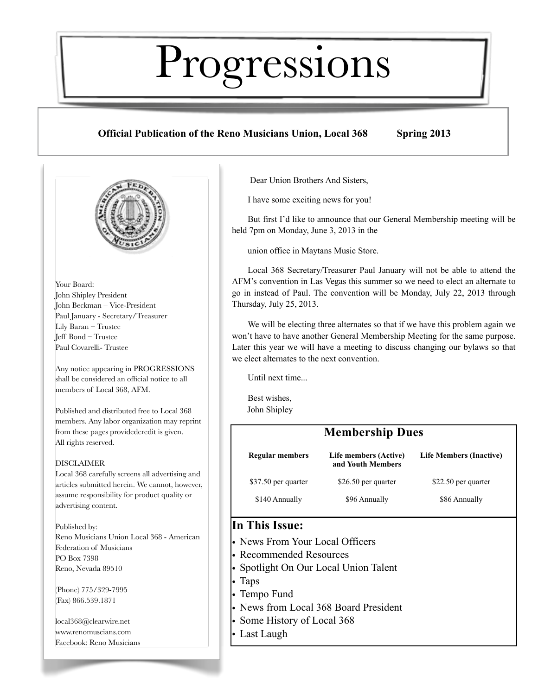# Progressions

# **Official Publication of the Reno Musicians Union, Local 368 Spring 2013**



Your Board: John Shipley President John Beckman – Vice-President Paul January - Secretary/Treasurer Lily Baran – Trustee Jeff Bond – Trustee Paul Covarelli- Trustee

Any notice appearing in PROGRESSIONS shall be considered an official notice to all members of Local 368, AFM.

Published and distributed free to Local 368 members. Any labor organization may reprint from these pages providedcredit is given. All rights reserved.

## DISCLAIMER

Local 368 carefully screens all advertising and articles submitted herein. We cannot, however, assume responsibility for product quality or advertising content.

Published by: Reno Musicians Union Local 368 - American Federation of Musicians PO Box 7398 Reno, Nevada 89510

(Phone) 775/329-7995 (Fax) 866.539.1871

local368@clearwire.net [www.renom](http://www.reno)uscians.com Facebook: Reno Musicians Dear Union Brothers And Sisters,

I have some exciting news for you!

But first I'd like to announce that our General Membership meeting will be held 7pm on Monday, June 3, 2013 in the

union office in Maytans Music Store.

Local 368 Secretary/Treasurer Paul January will not be able to attend the AFM's convention in Las Vegas this summer so we need to elect an alternate to go in instead of Paul. The convention will be Monday, July 22, 2013 through Thursday, July 25, 2013.

We will be electing three alternates so that if we have this problem again we won't have to have another General Membership Meeting for the same purpose. Later this year we will have a meeting to discuss changing our bylaws so that we elect alternates to the next convention.

Until next time...

Best wishes, John Shipley

| <b>Membership Dues</b> |                                            |                                |  |
|------------------------|--------------------------------------------|--------------------------------|--|
| <b>Regular members</b> | Life members (Active)<br>and Youth Members | <b>Life Members (Inactive)</b> |  |
| \$37.50 per quarter    | \$26.50 per quarter                        | \$22.50 per quarter            |  |
| \$140 Annually         | \$96 Annually                              | \$86 Annually                  |  |

# **In This Issue:**

- News From Your Local Officers
- Recommended Resources
- Spotlight On Our Local Union Talent
- Taps
- Tempo Fund
- News from Local 368 Board President
- Some History of Local 368
- Last Laugh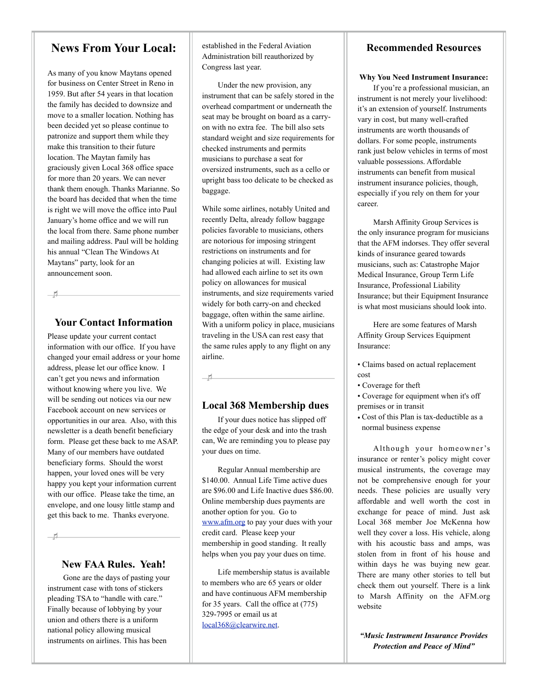# **News From Your Local:**

As many of you know Maytans opened for business on Center Street in Reno in 1959. But after 54 years in that location the family has decided to downsize and move to a smaller location. Nothing has been decided yet so please continue to patronize and support them while they make this transition to their future location. The Maytan family has graciously given Local 368 office space for more than 20 years. We can never thank them enough. Thanks Marianne. So the board has decided that when the time is right we will move the office into Paul January's home office and we will run the local from there. Same phone number and mailing address. Paul will be holding his annual "Clean The Windows At Maytans" party, look for an announcement soon.

- H.

# **Your Contact Information**

Please update your current contact information with our office. If you have changed your email address or your home address, please let our office know. I can't get you news and information without knowing where you live. We will be sending out notices via our new Facebook account on new services or opportunities in our area. Also, with this newsletter is a death benefit beneficiary form. Please get these back to me ASAP. Many of our members have outdated beneficiary forms. Should the worst happen, your loved ones will be very happy you kept your information current with our office. Please take the time, an envelope, and one lousy little stamp and get this back to me. Thanks everyone.

- HL

# **New FAA Rules. Yeah!**

Gone are the days of pasting your instrument case with tons of stickers pleading TSA to "handle with care." Finally because of lobbying by your union and others there is a uniform national policy allowing musical instruments on airlines. This has been

established in the Federal Aviation Administration bill reauthorized by Congress last year.

Under the new provision, any instrument that can be safely stored in the overhead compartment or underneath the seat may be brought on board as a carryon with no extra fee. The bill also sets standard weight and size requirements for checked instruments and permits musicians to purchase a seat for oversized instruments, such as a cello or upright bass too delicate to be checked as baggage.

While some airlines, notably United and recently Delta, already follow baggage policies favorable to musicians, others are notorious for imposing stringent restrictions on instruments and for changing policies at will. Existing law had allowed each airline to set its own policy on allowances for musical instruments, and size requirements varied widely for both carry-on and checked baggage, often within the same airline. With a uniform policy in place, musicians traveling in the USA can rest easy that the same rules apply to any flight on any airline.

# **Local 368 Membership dues**

 $\begin{array}{c|c|c|c|c} \hline \quad \quad & \quad & \quad & \quad & \quad \\ \hline \end{array}$ 

If your dues notice has slipped off the edge of your desk and into the trash can, We are reminding you to please pay your dues on time.

Regular Annual membership are \$140.00. Annual Life Time active dues are \$96.00 and Life Inactive dues \$86.00. Online membership dues payments are another option for you. Go to [www.afm.org](http://www.afm.org) to pay your dues with your credit card. Please keep your membership in good standing. It really helps when you pay your dues on time.

Life membership status is available to members who are 65 years or older and have continuous AFM membership for 35 years. Call the office at (775) 329-7995 or email us at [local368@clearwire.net.](mailto:local368@clearwire.net)

## **Recommended Resources**

#### **Why You Need Instrument Insurance:**

If you're a professional musician, an instrument is not merely your livelihood: it's an extension of yourself. Instruments vary in cost, but many well-crafted instruments are worth thousands of dollars. For some people, instruments rank just below vehicles in terms of most valuable possessions. Affordable instruments can benefit from musical instrument insurance policies, though, especially if you rely on them for your career.

Marsh Affinity Group Services is the only insurance program for musicians that the AFM indorses. They offer several kinds of insurance geared towards musicians, such as: Catastrophe Major Medical Insurance, Group Term Life Insurance, Professional Liability Insurance; but their Equipment Insurance is what most musicians should look into.

Here are some features of Marsh Affinity Group Services Equipment Insurance:

- Claims based on actual replacement cost
- Coverage for theft
- Coverage for equipment when it's off premises or in transit
- Cost of this Plan is tax-deductible as a normal business expense

Although your homeowner 's insurance or renter's policy might cover musical instruments, the coverage may not be comprehensive enough for your needs. These policies are usually very affordable and well worth the cost in exchange for peace of mind. Just ask Local 368 member Joe McKenna how well they cover a loss. His vehicle, along with his acoustic bass and amps, was stolen from in front of his house and within days he was buying new gear. There are many other stories to tell but check them out yourself. There is a link to Marsh Affinity on the AFM.org website

*"Music Instrument Insurance Provides Protection and Peace of Mind"*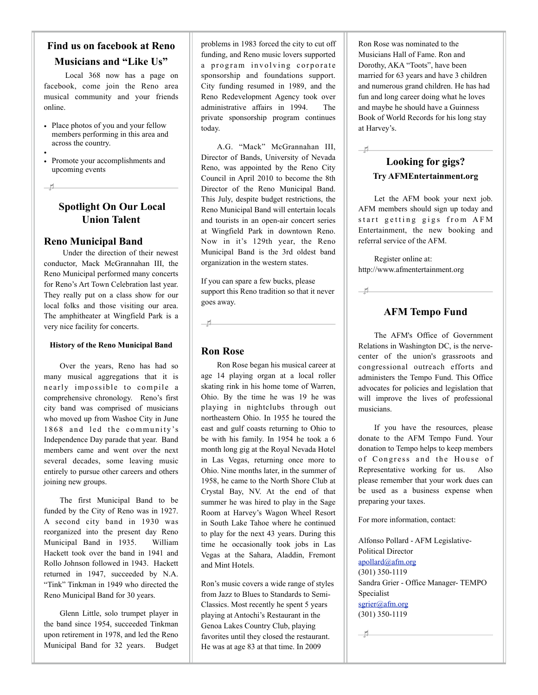# **Find us on facebook at Reno Musicians and "Like Us"**

 Local 368 now has a page on facebook, come join the Reno area musical community and your friends online.

- Place photos of you and your fellow members performing in this area and across the country.
- • Promote your accomplishments and upcoming events

# **Spotlight On Our Local Union Talent**

## **Reno Municipal Band**

 $H$ 

 Under the direction of their newest conductor, Mack McGrannahan III, the Reno Municipal performed many concerts for Reno's Art Town Celebration last year. They really put on a class show for our local folks and those visiting our area. The amphitheater at Wingfield Park is a very nice facility for concerts.

#### **History of the Reno Municipal Band**

Over the years, Reno has had so many musical aggregations that it is nearly impossible to compile a comprehensive chronology. Reno's first city band was comprised of musicians who moved up from Washoe City in June 1868 and led the community's Independence Day parade that year. Band members came and went over the next several decades, some leaving music entirely to pursue other careers and others joining new groups.

The first Municipal Band to be funded by the City of Reno was in 1927. A second city band in 1930 was reorganized into the present day Reno Municipal Band in 1935. William Hackett took over the band in 1941 and Rollo Johnson followed in 1943. Hackett returned in 1947, succeeded by N.A. "Tink" Tinkman in 1949 who directed the Reno Municipal Band for 30 years.

Glenn Little, solo trumpet player in the band since 1954, succeeded Tinkman upon retirement in 1978, and led the Reno Municipal Band for 32 years. Budget problems in 1983 forced the city to cut off funding, and Reno music lovers supported a program involving corporate sponsorship and foundations support. City funding resumed in 1989, and the Reno Redevelopment Agency took over administrative affairs in 1994. The private sponsorship program continues today.

A.G. "Mack" McGrannahan III, Director of Bands, University of Nevada Reno, was appointed by the Reno City Council in April 2010 to become the 8th Director of the Reno Municipal Band. This July, despite budget restrictions, the Reno Municipal Band will entertain locals and tourists in an open-air concert series at Wingfield Park in downtown Reno. Now in it's 129th year, the Reno Municipal Band is the 3rd oldest band organization in the western states.

If you can spare a few bucks, please support this Reno tradition so that it never goes away.

 $\begin{array}{c|c|c|c|c} \hline \textbf{H} & \textbf{H} & \textbf{H} & \textbf{H} & \textbf{H} \\ \hline \textbf{H} & \textbf{H} & \textbf{H} & \textbf{H} & \textbf{H} & \textbf{H} \\ \hline \end{array}$ 

# **Ron Rose**

Ron Rose began his musical career at age 14 playing organ at a local roller skating rink in his home tome of Warren, Ohio. By the time he was 19 he was playing in nightclubs through out northeastern Ohio. In 1955 he toured the east and gulf coasts returning to Ohio to be with his family. In 1954 he took a 6 month long gig at the Royal Nevada Hotel in Las Vegas, returning once more to Ohio. Nine months later, in the summer of 1958, he came to the North Shore Club at Crystal Bay, NV. At the end of that summer he was hired to play in the Sage Room at Harvey's Wagon Wheel Resort in South Lake Tahoe where he continued to play for the next 43 years. During this time he occasionally took jobs in Las Vegas at the Sahara, Aladdin, Fremont and Mint Hotels.

Ron's music covers a wide range of styles from Jazz to Blues to Standards to Semi-Classics. Most recently he spent 5 years playing at Antochi's Restaurant in the Genoa Lakes Country Club, playing favorites until they closed the restaurant. He was at age 83 at that time. In 2009

Ron Rose was nominated to the Musicians Hall of Fame. Ron and Dorothy, AKA "Toots", have been married for 63 years and have 3 children and numerous grand children. He has had fun and long career doing what he loves and maybe he should have a Guinness Book of World Records for his long stay at Harvey's.

# **Looking for gigs? Try AFMEntertainment.org**

 $\overline{1}$ 

 $\pm$ 

Let the AFM book your next job. AFM members should sign up today and start getting gigs from AFM Entertainment, the new booking and referral service of the AFM.

Register online at: <http://www.afmentertainment.org>

# **AFM Tempo Fund**

The AFM's Office of Government Relations in Washington DC, is the nervecenter of the union's grassroots and congressional outreach efforts and administers the Tempo Fund. This Office advocates for policies and legislation that will improve the lives of professional musicians.

If you have the resources, please donate to the AFM Tempo Fund. Your donation to Tempo helps to keep members of Congress and the House of Representative working for us. Also please remember that your work dues can be used as a business expense when preparing your taxes.

For more information, contact:

Alfonso Pollard - AFM Legislative-Political Director [apollard@afm.org](mailto:apollard@afm.org) (301) 350-1119 Sandra Grier - Office Manager- TEMPO Specialist [sgrier@afm.org](mailto:sgrier@afm.org) (301) 350-1119

 $\pm$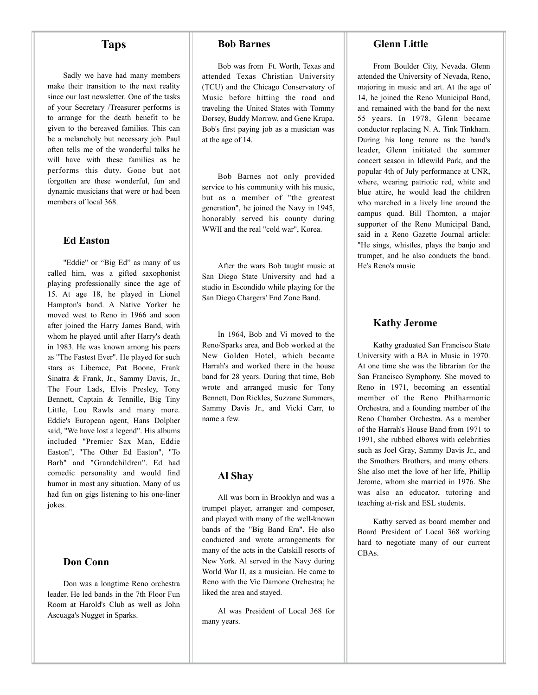# **Taps**

Sadly we have had many members make their transition to the next reality since our last newsletter. One of the tasks of your Secretary /Treasurer performs is to arrange for the death benefit to be given to the bereaved families. This can be a melancholy but necessary job. Paul often tells me of the wonderful talks he will have with these families as he performs this duty. Gone but not forgotten are these wonderful, fun and dynamic musicians that were or had been members of local 368.

#### **Ed Easton**

"Eddie" or "Big Ed" as many of us called him, was a gifted saxophonist playing professionally since the age of 15. At age 18, he played in Lionel Hampton's band. A Native Yorker he moved west to Reno in 1966 and soon after joined the Harry James Band, with whom he played until after Harry's death in 1983. He was known among his peers as "The Fastest Ever". He played for such stars as Liberace, Pat Boone, Frank Sinatra & Frank, Jr., Sammy Davis, Jr., The Four Lads, Elvis Presley, Tony Bennett, Captain & Tennille, Big Tiny Little, Lou Rawls and many more. Eddie's European agent, Hans Dolpher said, "We have lost a legend". His albums included "Premier Sax Man, Eddie Easton", "The Other Ed Easton", "To Barb" and "Grandchildren". Ed had comedic personality and would find humor in most any situation. Many of us had fun on gigs listening to his one-liner jokes.

## **Don Conn**

Don was a longtime Reno orchestra leader. He led bands in the 7th Floor Fun Room at Harold's Club as well as John Ascuaga's Nugget in Sparks.

#### **Bob Barnes**

Bob was from Ft. Worth, Texas and attended Texas Christian University (TCU) and the Chicago Conservatory of Music before hitting the road and traveling the United States with Tommy Dorsey, Buddy Morrow, and Gene Krupa. Bob's first paying job as a musician was at the age of 14.

Bob Barnes not only provided service to his community with his music, but as a member of "the greatest generation", he joined the Navy in 1945, honorably served his county during WWII and the real "cold war", Korea.

After the wars Bob taught music at San Diego State University and had a studio in Escondido while playing for the San Diego Chargers' End Zone Band.

In 1964, Bob and Vi moved to the Reno/Sparks area, and Bob worked at the New Golden Hotel, which became Harrah's and worked there in the house band for 28 years. During that time, Bob wrote and arranged music for Tony Bennett, Don Rickles, Suzzane Summers, Sammy Davis Jr., and Vicki Carr, to name a few.

#### **Al Shay**

All was born in Brooklyn and was a trumpet player, arranger and composer, and played with many of the well-known bands of the "Big Band Era". He also conducted and wrote arrangements for many of the acts in the Catskill resorts of New York. Al served in the Navy during World War II, as a musician. He came to Reno with the Vic Damone Orchestra; he liked the area and stayed.

Al was President of Local 368 for many years.

#### **Glenn Little**

From Boulder City, Nevada. Glenn attended the University of Nevada, Reno, majoring in music and art. At the age of 14, he joined the Reno Municipal Band, and remained with the band for the next 55 years. In 1978, Glenn became conductor replacing N. A. Tink Tinkham. During his long tenure as the band's leader, Glenn initiated the summer concert season in Idlewild Park, and the popular 4th of July performance at UNR, where, wearing patriotic red, white and blue attire, he would lead the children who marched in a lively line around the campus quad. Bill Thornton, a major supporter of the Reno Municipal Band, said in a Reno Gazette Journal article: "He sings, whistles, plays the banjo and trumpet, and he also conducts the band. He's Reno's music

## **Kathy Jerome**

Kathy graduated San Francisco State University with a BA in Music in 1970. At one time she was the librarian for the San Francisco Symphony. She moved to Reno in 1971, becoming an essential member of the Reno Philharmonic Orchestra, and a founding member of the Reno Chamber Orchestra. As a member of the Harrah's House Band from 1971 to 1991, she rubbed elbows with celebrities such as Joel Gray, Sammy Davis Jr., and the Smothers Brothers, and many others. She also met the love of her life, Phillip Jerome, whom she married in 1976. She was also an educator, tutoring and teaching at-risk and ESL students.

Kathy served as board member and Board President of Local 368 working hard to negotiate many of our current CBAs.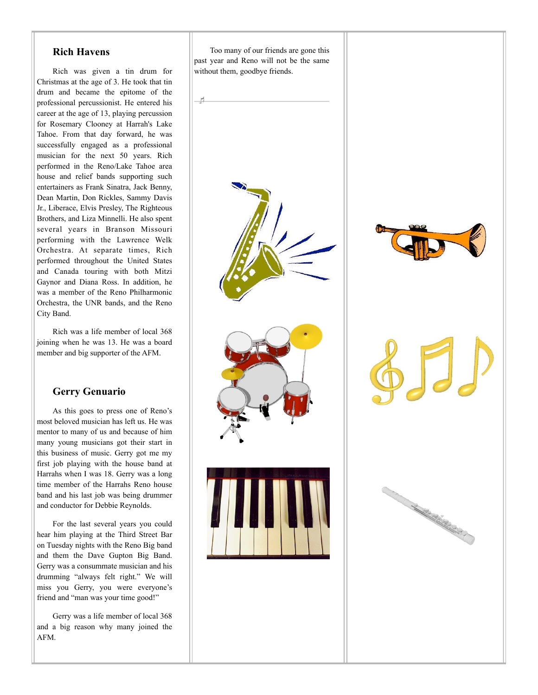#### **Rich Havens**

Rich was given a tin drum for Christmas at the age of 3. He took that tin drum and became the epitome of the professional percussionist. He entered his career at the age of 13, playing percussion for Rosemary Clooney at Harrah's Lake Tahoe. From that day forward, he was successfully engaged as a professional musician for the next 50 years. Rich performed in the Reno/Lake Tahoe area house and relief bands supporting such entertainers as Frank Sinatra, Jack Benny, Dean Martin, Don Rickles, Sammy Davis Jr., Liberace, Elvis Presley, The Righteous Brothers, and Liza Minnelli. He also spent several years in Branson Missouri performing with the Lawrence Welk Orchestra. At separate times, Rich performed throughout the United States and Canada touring with both Mitzi Gaynor and Diana Ross. In addition, he was a member of the Reno Philharmonic Orchestra, the UNR bands, and the Reno City Band.

Rich was a life member of local 368 joining when he was 13. He was a board member and big supporter of the AFM.

## **Gerry Genuario**

As this goes to press one of Reno's most beloved musician has left us. He was mentor to many of us and because of him many young musicians got their start in this business of music. Gerry got me my first job playing with the house band at Harrahs when I was 18. Gerry was a long time member of the Harrahs Reno house band and his last job was being drummer and conductor for Debbie Reynolds.

For the last several years you could hear him playing at the Third Street Bar on Tuesday nights with the Reno Big band and them the Dave Gupton Big Band. Gerry was a consummate musician and his drumming "always felt right." We will miss you Gerry, you were everyone's friend and "man was your time good!"

Gerry was a life member of local 368 and a big reason why many joined the AFM.

Too many of our friends are gone this past year and Reno will not be the same without them, goodbye friends.





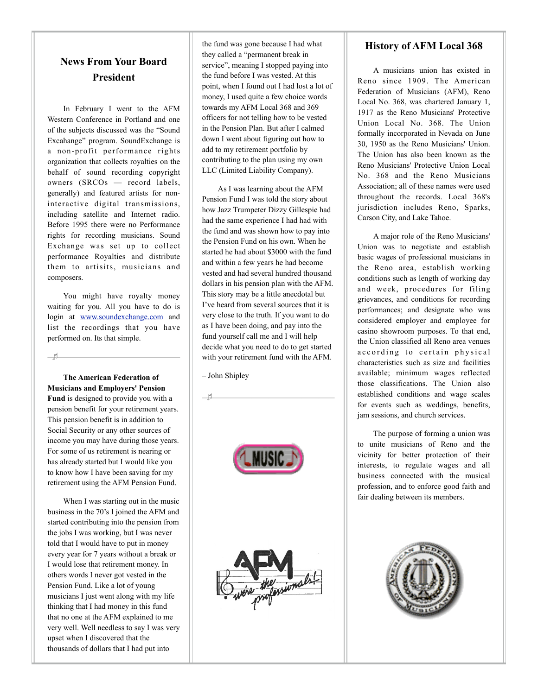# **News From Your Board President**

In February I went to the AFM Western Conference in Portland and one of the subjects discussed was the "Sound Excahange" program. SoundExchange is a [non-profit](http://en.wikipedia.org/wiki/Non-profit) [performance rights](http://en.wikipedia.org/wiki/Performance_rights_organization)  [organization](http://en.wikipedia.org/wiki/Performance_rights_organization) that collects [royalties](http://en.wikipedia.org/wiki/Royalties) on the behalf of sound recording copyright owners (SRCOs — [record labels,](http://en.wikipedia.org/wiki/Record_label) generally) and featured [artists](http://en.wikipedia.org/wiki/Artist) for noninteractive digital transmissions, including [satellite](http://en.wikipedia.org/wiki/Satellite_radio) and [Internet radio.](http://en.wikipedia.org/wiki/Internet_radio) Before 1995 there were no Performance rights for recording musicians. Sound Exchange was set up to collect performance Royalties and distribute them to artisits, musicians and composers.

You might have royalty money waiting for you. All you have to do is login at [www.soundexchange.com](http://www.soundexchange.com) and list the recordings that you have performed on. Its that simple.

 $-1$ 

**The American Federation of Musicians and Employers' Pension Fund** is designed to provide you with a pension benefit for your retirement years. This pension benefit is in addition to Social Security or any other sources of income you may have during those years. For some of us retirement is nearing or has already started but I would like you to know how I have been saving for my retirement using the AFM Pension Fund.

When I was starting out in the music business in the 70's I joined the AFM and started contributing into the pension from the jobs I was working, but I was never told that I would have to put in money every year for 7 years without a break or I would lose that retirement money. In others words I never got vested in the Pension Fund. Like a lot of young musicians I just went along with my life thinking that I had money in this fund that no one at the AFM explained to me very well. Well needless to say I was very upset when I discovered that the thousands of dollars that I had put into

the fund was gone because I had what they called a "permanent break in service", meaning I stopped paying into the fund before I was vested. At this point, when I found out I had lost a lot of money, I used quite a few choice words towards my AFM Local 368 and 369 officers for not telling how to be vested in the Pension Plan. But after I calmed down I went about figuring out how to add to my retirement portfolio by contributing to the plan using my own LLC (Limited Liability Company).

As I was learning about the AFM Pension Fund I was told the story about how Jazz Trumpeter Dizzy Gillespie had had the same experience I had had with the fund and was shown how to pay into the Pension Fund on his own. When he started he had about \$3000 with the fund and within a few years he had become vested and had several hundred thousand dollars in his pension plan with the AFM. This story may be a little anecdotal but I've heard from several sources that it is very close to the truth. If you want to do as I have been doing, and pay into the fund yourself call me and I will help decide what you need to do to get started with your retirement fund with the AFM.

– John Shipley



## **History of AFM Local 368**

A musicians union has existed in Reno since 1909. The American Federation of Musicians (AFM), Reno Local No. 368, was chartered January 1, 1917 as the Reno Musicians' Protective Union Local No. 368. The Union formally incorporated in Nevada on June 30, 1950 as the Reno Musicians' Union. The Union has also been known as the Reno Musicians' Protective Union Local No. 368 and the Reno Musicians Association; all of these names were used throughout the records. Local 368's jurisdiction includes Reno, Sparks, Carson City, and Lake Tahoe.

A major role of the Reno Musicians' Union was to negotiate and establish basic wages of professional musicians in the Reno area, establish working conditions such as length of working day and week, procedures for filing grievances, and conditions for recording performances; and designate who was considered employer and employee for casino showroom purposes. To that end, the Union classified all Reno area venues according to certain physical characteristics such as size and facilities available; minimum wages reflected those classifications. The Union also established conditions and wage scales for events such as weddings, benefits, jam sessions, and church services.

The purpose of forming a union was to unite musicians of Reno and the vicinity for better protection of their interests, to regulate wages and all business connected with the musical profession, and to enforce good faith and fair dealing between its members.